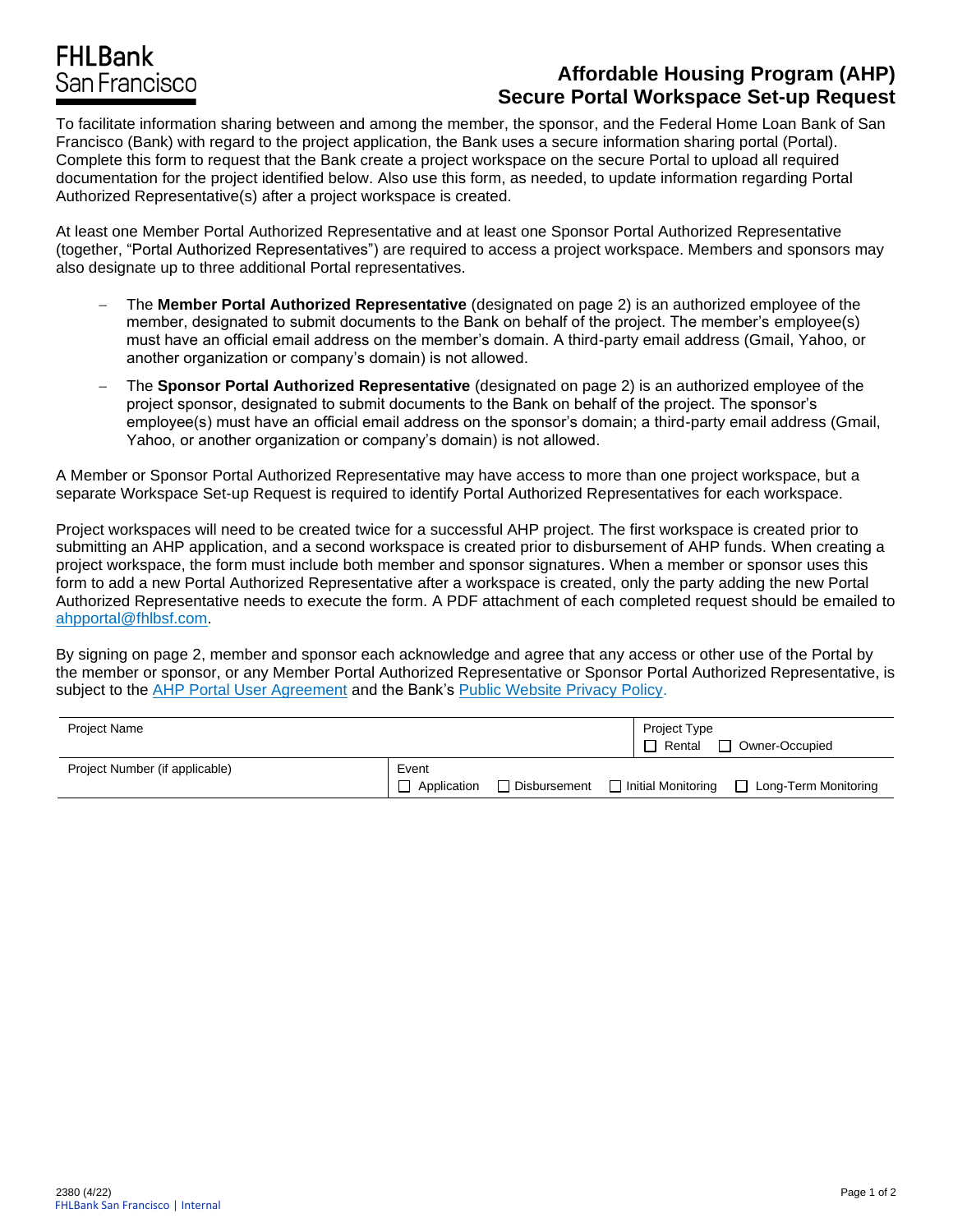## **FHLBank** San Francisco

## **Affordable Housing Program (AHP) Secure Portal Workspace Set-up Request**

To facilitate information sharing between and among the member, the sponsor, and the Federal Home Loan Bank of San Francisco (Bank) with regard to the project application, the Bank uses a secure information sharing portal (Portal). Complete this form to request that the Bank create a project workspace on the secure Portal to upload all required documentation for the project identified below. Also use this form, as needed, to update information regarding Portal Authorized Representative(s) after a project workspace is created.

At least one Member Portal Authorized Representative and at least one Sponsor Portal Authorized Representative (together, "Portal Authorized Representatives") are required to access a project workspace. Members and sponsors may also designate up to three additional Portal representatives.

- − The **Member Portal Authorized Representative** (designated on page 2) is an authorized employee of the member, designated to submit documents to the Bank on behalf of the project. The member's employee(s) must have an official email address on the member's domain. A third-party email address (Gmail, Yahoo, or another organization or company's domain) is not allowed.
- − The **Sponsor Portal Authorized Representative** (designated on page 2) is an authorized employee of the project sponsor, designated to submit documents to the Bank on behalf of the project. The sponsor's employee(s) must have an official email address on the sponsor's domain; a third-party email address (Gmail, Yahoo, or another organization or company's domain) is not allowed.

A Member or Sponsor Portal Authorized Representative may have access to more than one project workspace, but a separate Workspace Set-up Request is required to identify Portal Authorized Representatives for each workspace.

Project workspaces will need to be created twice for a successful AHP project. The first workspace is created prior to submitting an AHP application, and a second workspace is created prior to disbursement of AHP funds. When creating a project workspace, the form must include both member and sponsor signatures. When a member or sponsor uses this form to add a new Portal Authorized Representative after a workspace is created, only the party adding the new Portal Authorized Representative needs to execute the form. A PDF attachment of each completed request should be emailed to [ahpportal@fhlbsf.com.](mailto:ahpportal@fhlbsf.com)

By signing on page 2, member and sponsor each acknowledge and agree that any access or other use of the Portal by the member or sponsor, or any Member Portal Authorized Representative or Sponsor Portal Authorized Representative, is subject to the [AHP Portal User Agreement](https://www.fhlbsf.com/sites/default/files/2020-08/AHP-Portal-User-Agreement_0.pdf) and the Bank's [Public Website Privacy Policy.](https://fhlbsf.com/privacy-policy)

| Project Name                   |                      |                     | Project Type<br>$\Box$<br>Rental | Owner-Occupied         |
|--------------------------------|----------------------|---------------------|----------------------------------|------------------------|
| Project Number (if applicable) | Event<br>Application | $\Box$ Disbursement | □ Initial Monitoring             | □ Long-Term Monitoring |